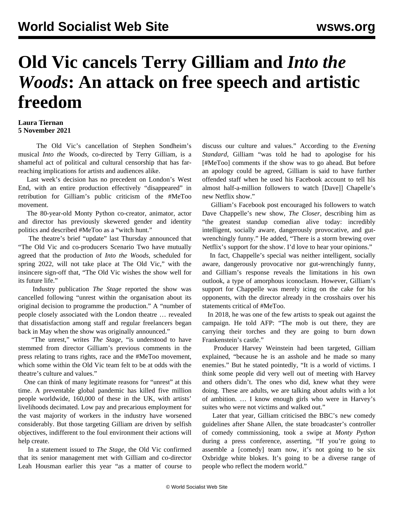## **Old Vic cancels Terry Gilliam and** *Into the Woods***: An attack on free speech and artistic freedom**

## **Laura Tiernan 5 November 2021**

 The Old Vic's cancellation of Stephen Sondheim's musical *Into the Woods,* co-directed by Terry Gilliam, is a shameful act of political and cultural censorship that has farreaching implications for artists and audiences alike.

 Last week's decision has no precedent on London's West End, with an entire production effectively "disappeared" in retribution for Gilliam's public criticism of the #MeToo movement.

 The 80-year-old Monty Python co-creator, animator, actor and director has previously skewered gender and identity politics and described #MeToo as a "witch hunt."

 The theatre's brief "update" last Thursday announced that "The Old Vic and co-producers Scenario Two have mutually agreed that the production of *Into the Woods*, scheduled for spring 2022, will not take place at The Old Vic," with the insincere sign-off that, "The Old Vic wishes the show well for its future life."

 Industry publication *The Stage* reported the show was cancelled following "unrest within the organisation about its original decision to programme the production." A "number of people closely associated with the London theatre … revealed that dissatisfaction among staff and regular freelancers began back in May when the show was originally announced."

 "The unrest," writes *The Stage*, "is understood to have stemmed from director Gilliam's previous comments in the press relating to trans rights, race and the #MeToo movement, which some within the Old Vic team felt to be at odds with the theatre's culture and values."

 One can think of many legitimate reasons for "unrest" at this time. A preventable global pandemic has killed five million people worldwide, 160,000 of these in the UK, with artists' livelihoods decimated. Low pay and precarious employment for the vast majority of workers in the industry have worsened considerably. But those targeting Gilliam are driven by selfish objectives, indifferent to the foul environment their actions will help create.

 In a statement issued to *The Stage*, the Old Vic confirmed that its senior management met with Gilliam and co-director Leah Housman earlier this year "as a matter of course to discuss our culture and values." According to the *Evening Standard*, Gilliam "was told he had to apologise for his [#MeToo] comments if the show was to go ahead. But before an apology could be agreed, Gilliam is said to have further offended staff when he used his Facebook account to tell his almost half-a-million followers to watch [Dave]] Chapelle's new Netflix show."

 Gilliam's Facebook post encouraged his followers to watch Dave Chappelle's new show, *The Closer*, describing him as "the greatest standup comedian alive today: incredibly intelligent, socially aware, dangerously provocative, and gutwrenchingly funny." He added, "There is a storm brewing over Netflix's support for the show. I'd love to hear your opinions."

 In fact, Chappelle's special was neither intelligent, socially aware, dangerously provocative nor gut-wrenchingly funny, and Gilliam's response reveals the limitations in his own outlook, a type of amorphous iconoclasm. However, Gilliam's support for Chappelle was merely icing on the cake for his opponents, with the director already in the crosshairs over his statements critical of #MeToo.

 In 2018, he was one of the few artists to speak out against the campaign. He told AFP: "The mob is out there, they are carrying their torches and they are going to burn down Frankenstein's castle."

 Producer Harvey Weinstein had been targeted, Gilliam explained, "because he is an asshole and he made so many enemies." But he stated pointedly, "It is a world of victims. I think some people did very well out of meeting with Harvey and others didn't. The ones who did, knew what they were doing. These are adults, we are talking about adults with a lot of ambition. … I know enough girls who were in Harvey's suites who were not victims and walked out."

 Later that year, Gilliam criticised the BBC's new comedy guidelines after Shane Allen, the state broadcaster's controller of comedy commissioning, took a swipe at *Monty Python* during a press conference, asserting, "If you're going to assemble a [comedy] team now, it's not going to be six Oxbridge white blokes. It's going to be a diverse range of people who reflect the modern world."